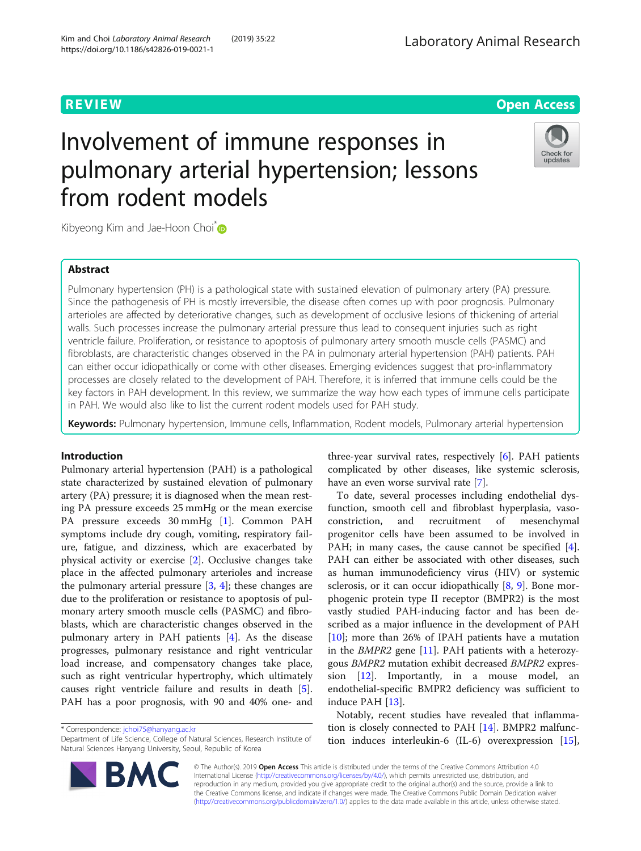

# Involvement of immune responses in pulmonary arterial hypertension; lessons from rodent models



Kibyeong Kim and Jae-Hoon Choi<sup>\*</sup>

### Abstract

Pulmonary hypertension (PH) is a pathological state with sustained elevation of pulmonary artery (PA) pressure. Since the pathogenesis of PH is mostly irreversible, the disease often comes up with poor prognosis. Pulmonary arterioles are affected by deteriorative changes, such as development of occlusive lesions of thickening of arterial walls. Such processes increase the pulmonary arterial pressure thus lead to consequent injuries such as right ventricle failure. Proliferation, or resistance to apoptosis of pulmonary artery smooth muscle cells (PASMC) and fibroblasts, are characteristic changes observed in the PA in pulmonary arterial hypertension (PAH) patients. PAH can either occur idiopathically or come with other diseases. Emerging evidences suggest that pro-inflammatory processes are closely related to the development of PAH. Therefore, it is inferred that immune cells could be the key factors in PAH development. In this review, we summarize the way how each types of immune cells participate in PAH. We would also like to list the current rodent models used for PAH study.

Keywords: Pulmonary hypertension, Immune cells, Inflammation, Rodent models, Pulmonary arterial hypertension

#### Introduction

Pulmonary arterial hypertension (PAH) is a pathological state characterized by sustained elevation of pulmonary artery (PA) pressure; it is diagnosed when the mean resting PA pressure exceeds 25 mmHg or the mean exercise PA pressure exceeds 30 mmHg [\[1](#page-4-0)]. Common PAH symptoms include dry cough, vomiting, respiratory failure, fatigue, and dizziness, which are exacerbated by physical activity or exercise [\[2](#page-4-0)]. Occlusive changes take place in the affected pulmonary arterioles and increase the pulmonary arterial pressure  $[3, 4]$  $[3, 4]$  $[3, 4]$  $[3, 4]$  $[3, 4]$ ; these changes are due to the proliferation or resistance to apoptosis of pulmonary artery smooth muscle cells (PASMC) and fibroblasts, which are characteristic changes observed in the pulmonary artery in PAH patients [\[4\]](#page-4-0). As the disease progresses, pulmonary resistance and right ventricular load increase, and compensatory changes take place, such as right ventricular hypertrophy, which ultimately causes right ventricle failure and results in death [\[5](#page-4-0)]. PAH has a poor prognosis, with 90 and 40% one- and

\* Correspondence: [jchoi75@hanyang.ac.kr](mailto:jchoi75@hanyang.ac.kr)

Department of Life Science, College of Natural Sciences, Research Institute of Natural Sciences Hanyang University, Seoul, Republic of Korea



three-year survival rates, respectively [\[6](#page-4-0)]. PAH patients complicated by other diseases, like systemic sclerosis, have an even worse survival rate [\[7](#page-4-0)].

To date, several processes including endothelial dysfunction, smooth cell and fibroblast hyperplasia, vasoconstriction, and recruitment of mesenchymal progenitor cells have been assumed to be involved in PAH; in many cases, the cause cannot be specified  $[4]$  $[4]$ . PAH can either be associated with other diseases, such as human immunodeficiency virus (HIV) or systemic sclerosis, or it can occur idiopathically [\[8,](#page-4-0) [9](#page-4-0)]. Bone morphogenic protein type II receptor (BMPR2) is the most vastly studied PAH-inducing factor and has been described as a major influence in the development of PAH [[10\]](#page-4-0); more than 26% of IPAH patients have a mutation in the BMPR2 gene [[11\]](#page-4-0). PAH patients with a heterozygous BMPR2 mutation exhibit decreased BMPR2 expression [[12\]](#page-4-0). Importantly, in a mouse model, an endothelial-specific BMPR2 deficiency was sufficient to induce PAH [\[13\]](#page-4-0).

Notably, recent studies have revealed that inflammation is closely connected to PAH [\[14](#page-4-0)]. BMPR2 malfunction induces interleukin-6 (IL-6) overexpression [\[15](#page-4-0)],

© The Author(s). 2019 Open Access This article is distributed under the terms of the Creative Commons Attribution 4.0 International License [\(http://creativecommons.org/licenses/by/4.0/](http://creativecommons.org/licenses/by/4.0/)), which permits unrestricted use, distribution, and reproduction in any medium, provided you give appropriate credit to the original author(s) and the source, provide a link to the Creative Commons license, and indicate if changes were made. The Creative Commons Public Domain Dedication waiver [\(http://creativecommons.org/publicdomain/zero/1.0/](http://creativecommons.org/publicdomain/zero/1.0/)) applies to the data made available in this article, unless otherwise stated.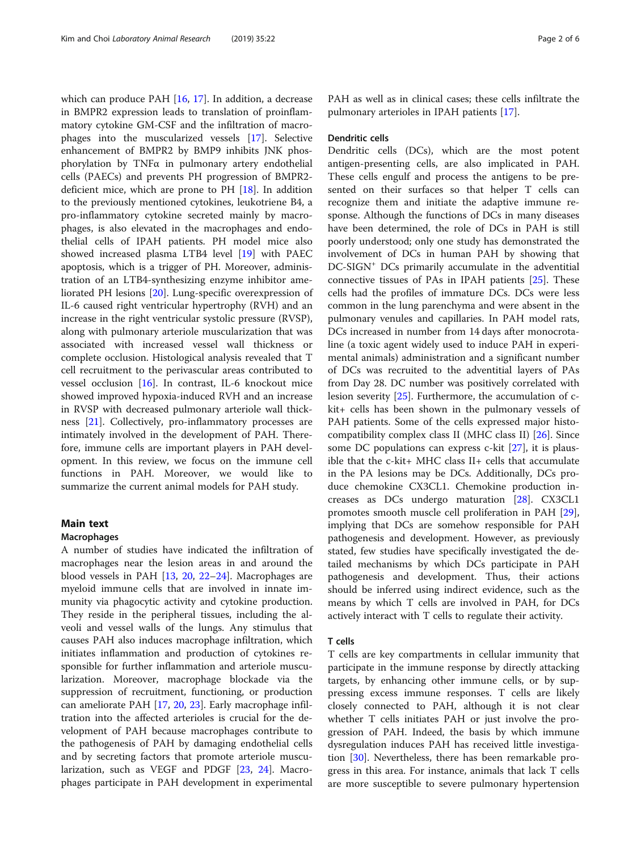which can produce PAH [\[16](#page-4-0), [17](#page-4-0)]. In addition, a decrease in BMPR2 expression leads to translation of proinflammatory cytokine GM-CSF and the infiltration of macrophages into the muscularized vessels [\[17\]](#page-4-0). Selective enhancement of BMPR2 by BMP9 inhibits JNK phosphorylation by TNFα in pulmonary artery endothelial cells (PAECs) and prevents PH progression of BMPR2 deficient mice, which are prone to PH [\[18](#page-4-0)]. In addition to the previously mentioned cytokines, leukotriene B4, a pro-inflammatory cytokine secreted mainly by macrophages, is also elevated in the macrophages and endothelial cells of IPAH patients. PH model mice also showed increased plasma LTB4 level [[19](#page-4-0)] with PAEC apoptosis, which is a trigger of PH. Moreover, administration of an LTB4-synthesizing enzyme inhibitor ameliorated PH lesions [[20\]](#page-4-0). Lung-specific overexpression of IL-6 caused right ventricular hypertrophy (RVH) and an increase in the right ventricular systolic pressure (RVSP), along with pulmonary arteriole muscularization that was associated with increased vessel wall thickness or complete occlusion. Histological analysis revealed that T cell recruitment to the perivascular areas contributed to vessel occlusion [[16\]](#page-4-0). In contrast, IL-6 knockout mice showed improved hypoxia-induced RVH and an increase in RVSP with decreased pulmonary arteriole wall thickness [\[21](#page-4-0)]. Collectively, pro-inflammatory processes are intimately involved in the development of PAH. Therefore, immune cells are important players in PAH development. In this review, we focus on the immune cell functions in PAH. Moreover, we would like to summarize the current animal models for PAH study.

#### Main text

#### Macrophages

A number of studies have indicated the infiltration of macrophages near the lesion areas in and around the blood vessels in PAH [\[13](#page-4-0), [20](#page-4-0), [22](#page-4-0)–[24\]](#page-4-0). Macrophages are myeloid immune cells that are involved in innate immunity via phagocytic activity and cytokine production. They reside in the peripheral tissues, including the alveoli and vessel walls of the lungs. Any stimulus that causes PAH also induces macrophage infiltration, which initiates inflammation and production of cytokines responsible for further inflammation and arteriole muscularization. Moreover, macrophage blockade via the suppression of recruitment, functioning, or production can ameliorate PAH [\[17](#page-4-0), [20](#page-4-0), [23](#page-4-0)]. Early macrophage infiltration into the affected arterioles is crucial for the development of PAH because macrophages contribute to the pathogenesis of PAH by damaging endothelial cells and by secreting factors that promote arteriole muscularization, such as VEGF and PDGF [[23,](#page-4-0) [24\]](#page-4-0). Macrophages participate in PAH development in experimental

PAH as well as in clinical cases; these cells infiltrate the pulmonary arterioles in IPAH patients [[17\]](#page-4-0).

#### Dendritic cells

Dendritic cells (DCs), which are the most potent antigen-presenting cells, are also implicated in PAH. These cells engulf and process the antigens to be presented on their surfaces so that helper T cells can recognize them and initiate the adaptive immune response. Although the functions of DCs in many diseases have been determined, the role of DCs in PAH is still poorly understood; only one study has demonstrated the involvement of DCs in human PAH by showing that DC-SIGN+ DCs primarily accumulate in the adventitial connective tissues of PAs in IPAH patients [[25\]](#page-4-0). These cells had the profiles of immature DCs. DCs were less common in the lung parenchyma and were absent in the pulmonary venules and capillaries. In PAH model rats, DCs increased in number from 14 days after monocrotaline (a toxic agent widely used to induce PAH in experimental animals) administration and a significant number of DCs was recruited to the adventitial layers of PAs from Day 28. DC number was positively correlated with lesion severity [\[25\]](#page-4-0). Furthermore, the accumulation of ckit+ cells has been shown in the pulmonary vessels of PAH patients. Some of the cells expressed major histocompatibility complex class II (MHC class II) [[26](#page-4-0)]. Since some DC populations can express c-kit [[27](#page-4-0)], it is plausible that the c-kit+ MHC class II+ cells that accumulate in the PA lesions may be DCs. Additionally, DCs produce chemokine CX3CL1. Chemokine production increases as DCs undergo maturation [\[28](#page-4-0)]. CX3CL1 promotes smooth muscle cell proliferation in PAH [\[29](#page-4-0)], implying that DCs are somehow responsible for PAH pathogenesis and development. However, as previously stated, few studies have specifically investigated the detailed mechanisms by which DCs participate in PAH pathogenesis and development. Thus, their actions should be inferred using indirect evidence, such as the means by which T cells are involved in PAH, for DCs actively interact with T cells to regulate their activity.

#### T cells

T cells are key compartments in cellular immunity that participate in the immune response by directly attacking targets, by enhancing other immune cells, or by suppressing excess immune responses. T cells are likely closely connected to PAH, although it is not clear whether T cells initiates PAH or just involve the progression of PAH. Indeed, the basis by which immune dysregulation induces PAH has received little investigation [\[30](#page-4-0)]. Nevertheless, there has been remarkable progress in this area. For instance, animals that lack T cells are more susceptible to severe pulmonary hypertension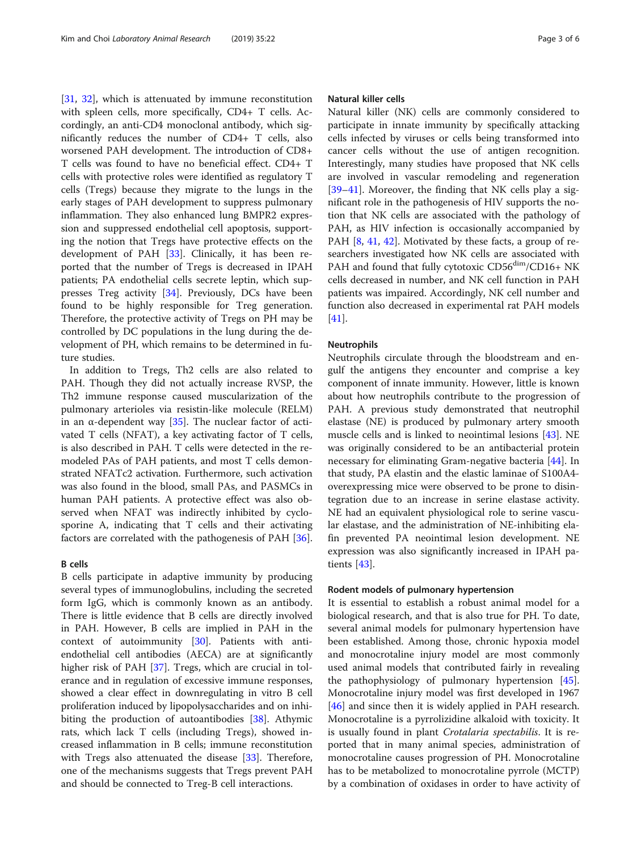[[31,](#page-4-0) [32\]](#page-4-0), which is attenuated by immune reconstitution with spleen cells, more specifically, CD4+ T cells. Accordingly, an anti-CD4 monoclonal antibody, which significantly reduces the number of CD4+ T cells, also worsened PAH development. The introduction of CD8+ T cells was found to have no beneficial effect. CD4+ T cells with protective roles were identified as regulatory T cells (Tregs) because they migrate to the lungs in the early stages of PAH development to suppress pulmonary inflammation. They also enhanced lung BMPR2 expression and suppressed endothelial cell apoptosis, supporting the notion that Tregs have protective effects on the development of PAH [\[33\]](#page-4-0). Clinically, it has been reported that the number of Tregs is decreased in IPAH patients; PA endothelial cells secrete leptin, which suppresses Treg activity [[34\]](#page-4-0). Previously, DCs have been found to be highly responsible for Treg generation. Therefore, the protective activity of Tregs on PH may be controlled by DC populations in the lung during the development of PH, which remains to be determined in future studies.

In addition to Tregs, Th2 cells are also related to PAH. Though they did not actually increase RVSP, the Th2 immune response caused muscularization of the pulmonary arterioles via resistin-like molecule (RELM) in an α-dependent way  $[35]$  $[35]$ . The nuclear factor of activated T cells (NFAT), a key activating factor of T cells, is also described in PAH. T cells were detected in the remodeled PAs of PAH patients, and most T cells demonstrated NFATc2 activation. Furthermore, such activation was also found in the blood, small PAs, and PASMCs in human PAH patients. A protective effect was also observed when NFAT was indirectly inhibited by cyclosporine A, indicating that T cells and their activating factors are correlated with the pathogenesis of PAH [\[36](#page-4-0)].

#### B cells

B cells participate in adaptive immunity by producing several types of immunoglobulins, including the secreted form IgG, which is commonly known as an antibody. There is little evidence that B cells are directly involved in PAH. However, B cells are implied in PAH in the context of autoimmunity [\[30\]](#page-4-0). Patients with antiendothelial cell antibodies (AECA) are at significantly higher risk of PAH [[37\]](#page-4-0). Tregs, which are crucial in tolerance and in regulation of excessive immune responses, showed a clear effect in downregulating in vitro B cell proliferation induced by lipopolysaccharides and on inhi-biting the production of autoantibodies [\[38](#page-4-0)]. Athymic rats, which lack T cells (including Tregs), showed increased inflammation in B cells; immune reconstitution with Tregs also attenuated the disease [\[33](#page-4-0)]. Therefore, one of the mechanisms suggests that Tregs prevent PAH and should be connected to Treg-B cell interactions.

#### Natural killer cells

Natural killer (NK) cells are commonly considered to participate in innate immunity by specifically attacking cells infected by viruses or cells being transformed into cancer cells without the use of antigen recognition. Interestingly, many studies have proposed that NK cells are involved in vascular remodeling and regeneration [[39](#page-4-0)–[41](#page-4-0)]. Moreover, the finding that NK cells play a significant role in the pathogenesis of HIV supports the notion that NK cells are associated with the pathology of PAH, as HIV infection is occasionally accompanied by PAH [\[8](#page-4-0), [41](#page-4-0), [42](#page-4-0)]. Motivated by these facts, a group of researchers investigated how NK cells are associated with PAH and found that fully cytotoxic CD56<sup>dim</sup>/CD16+ NK cells decreased in number, and NK cell function in PAH patients was impaired. Accordingly, NK cell number and function also decreased in experimental rat PAH models [[41\]](#page-4-0).

#### Neutrophils

Neutrophils circulate through the bloodstream and engulf the antigens they encounter and comprise a key component of innate immunity. However, little is known about how neutrophils contribute to the progression of PAH. A previous study demonstrated that neutrophil elastase (NE) is produced by pulmonary artery smooth muscle cells and is linked to neointimal lesions [\[43\]](#page-4-0). NE was originally considered to be an antibacterial protein necessary for eliminating Gram-negative bacteria [[44\]](#page-4-0). In that study, PA elastin and the elastic laminae of S100A4 overexpressing mice were observed to be prone to disintegration due to an increase in serine elastase activity. NE had an equivalent physiological role to serine vascular elastase, and the administration of NE-inhibiting elafin prevented PA neointimal lesion development. NE expression was also significantly increased in IPAH patients [\[43](#page-4-0)].

#### Rodent models of pulmonary hypertension

It is essential to establish a robust animal model for a biological research, and that is also true for PH. To date, several animal models for pulmonary hypertension have been established. Among those, chronic hypoxia model and monocrotaline injury model are most commonly used animal models that contributed fairly in revealing the pathophysiology of pulmonary hypertension [\[45](#page-4-0)]. Monocrotaline injury model was first developed in 1967 [[46\]](#page-4-0) and since then it is widely applied in PAH research. Monocrotaline is a pyrrolizidine alkaloid with toxicity. It is usually found in plant Crotalaria spectabilis. It is reported that in many animal species, administration of monocrotaline causes progression of PH. Monocrotaline has to be metabolized to monocrotaline pyrrole (MCTP) by a combination of oxidases in order to have activity of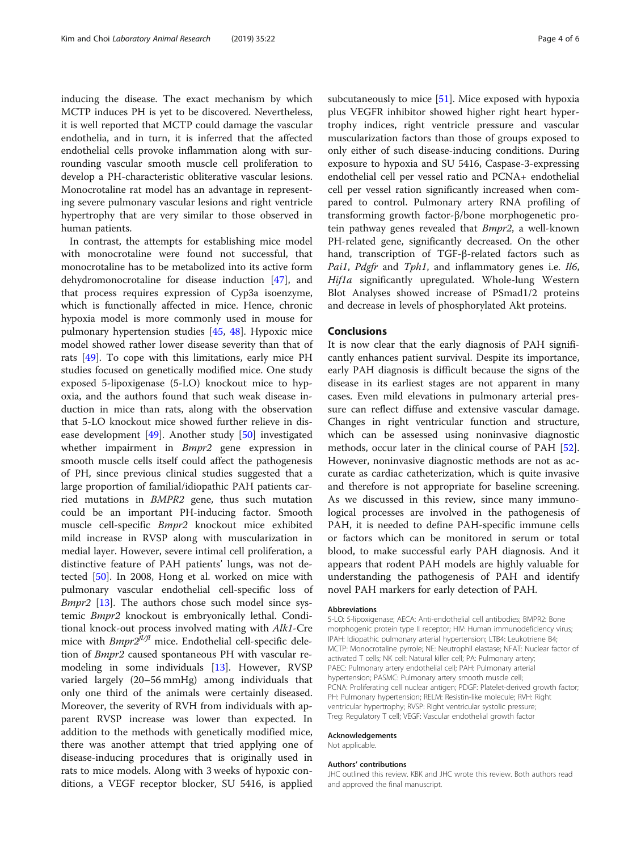inducing the disease. The exact mechanism by which MCTP induces PH is yet to be discovered. Nevertheless, it is well reported that MCTP could damage the vascular endothelia, and in turn, it is inferred that the affected endothelial cells provoke inflammation along with surrounding vascular smooth muscle cell proliferation to develop a PH-characteristic obliterative vascular lesions. Monocrotaline rat model has an advantage in representing severe pulmonary vascular lesions and right ventricle hypertrophy that are very similar to those observed in human patients.

In contrast, the attempts for establishing mice model with monocrotaline were found not successful, that monocrotaline has to be metabolized into its active form dehydromonocrotaline for disease induction [[47\]](#page-4-0), and that process requires expression of Cyp3a isoenzyme, which is functionally affected in mice. Hence, chronic hypoxia model is more commonly used in mouse for pulmonary hypertension studies [[45](#page-4-0), [48](#page-4-0)]. Hypoxic mice model showed rather lower disease severity than that of rats [\[49](#page-5-0)]. To cope with this limitations, early mice PH studies focused on genetically modified mice. One study exposed 5-lipoxigenase (5-LO) knockout mice to hypoxia, and the authors found that such weak disease induction in mice than rats, along with the observation that 5-LO knockout mice showed further relieve in disease development [[49\]](#page-5-0). Another study [[50\]](#page-5-0) investigated whether impairment in Bmpr2 gene expression in smooth muscle cells itself could affect the pathogenesis of PH, since previous clinical studies suggested that a large proportion of familial/idiopathic PAH patients carried mutations in BMPR2 gene, thus such mutation could be an important PH-inducing factor. Smooth muscle cell-specific Bmpr2 knockout mice exhibited mild increase in RVSP along with muscularization in medial layer. However, severe intimal cell proliferation, a distinctive feature of PAH patients' lungs, was not detected [[50\]](#page-5-0). In 2008, Hong et al. worked on mice with pulmonary vascular endothelial cell-specific loss of Bmpr2 [\[13\]](#page-4-0). The authors chose such model since systemic Bmpr2 knockout is embryonically lethal. Conditional knock-out process involved mating with Alk1-Cre mice with  $Bmpr2^{f l/fl}$  mice. Endothelial cell-specific deletion of Bmpr2 caused spontaneous PH with vascular remodeling in some individuals [\[13](#page-4-0)]. However, RVSP varied largely (20–56 mmHg) among individuals that only one third of the animals were certainly diseased. Moreover, the severity of RVH from individuals with apparent RVSP increase was lower than expected. In addition to the methods with genetically modified mice, there was another attempt that tried applying one of disease-inducing procedures that is originally used in rats to mice models. Along with 3 weeks of hypoxic conditions, a VEGF receptor blocker, SU 5416, is applied

subcutaneously to mice [[51](#page-5-0)]. Mice exposed with hypoxia plus VEGFR inhibitor showed higher right heart hypertrophy indices, right ventricle pressure and vascular muscularization factors than those of groups exposed to only either of such disease-inducing conditions. During exposure to hypoxia and SU 5416, Caspase-3-expressing endothelial cell per vessel ratio and PCNA+ endothelial cell per vessel ration significantly increased when compared to control. Pulmonary artery RNA profiling of transforming growth factor-β/bone morphogenetic protein pathway genes revealed that *Bmpr2*, a well-known PH-related gene, significantly decreased. On the other hand, transcription of TGF-β-related factors such as Pai1, Pdgfr and Tph1, and inflammatory genes i.e. Il6, Hif1a significantly upregulated. Whole-lung Western Blot Analyses showed increase of PSmad1/2 proteins and decrease in levels of phosphorylated Akt proteins.

#### Conclusions

It is now clear that the early diagnosis of PAH significantly enhances patient survival. Despite its importance, early PAH diagnosis is difficult because the signs of the disease in its earliest stages are not apparent in many cases. Even mild elevations in pulmonary arterial pressure can reflect diffuse and extensive vascular damage. Changes in right ventricular function and structure, which can be assessed using noninvasive diagnostic methods, occur later in the clinical course of PAH [\[52](#page-5-0)]. However, noninvasive diagnostic methods are not as accurate as cardiac catheterization, which is quite invasive and therefore is not appropriate for baseline screening. As we discussed in this review, since many immunological processes are involved in the pathogenesis of PAH, it is needed to define PAH-specific immune cells or factors which can be monitored in serum or total blood, to make successful early PAH diagnosis. And it appears that rodent PAH models are highly valuable for understanding the pathogenesis of PAH and identify novel PAH markers for early detection of PAH.

#### Abbreviations

5-LO: 5-lipoxigenase; AECA: Anti-endothelial cell antibodies; BMPR2: Bone morphogenic protein type II receptor; HIV: Human immunodeficiency virus; IPAH: Idiopathic pulmonary arterial hypertension; LTB4: Leukotriene B4; MCTP: Monocrotaline pyrrole; NE: Neutrophil elastase; NFAT: Nuclear factor of activated T cells; NK cell: Natural killer cell; PA: Pulmonary artery; PAEC: Pulmonary artery endothelial cell; PAH: Pulmonary arterial hypertension; PASMC: Pulmonary artery smooth muscle cell; PCNA: Proliferating cell nuclear antigen; PDGF: Platelet-derived growth factor; PH: Pulmonary hypertension; RELM: Resistin-like molecule; RVH: Right ventricular hypertrophy; RVSP: Right ventricular systolic pressure; Treg: Regulatory T cell; VEGF: Vascular endothelial growth factor

#### Acknowledgements

Not applicable.

#### Authors' contributions

JHC outlined this review. KBK and JHC wrote this review. Both authors read and approved the final manuscript.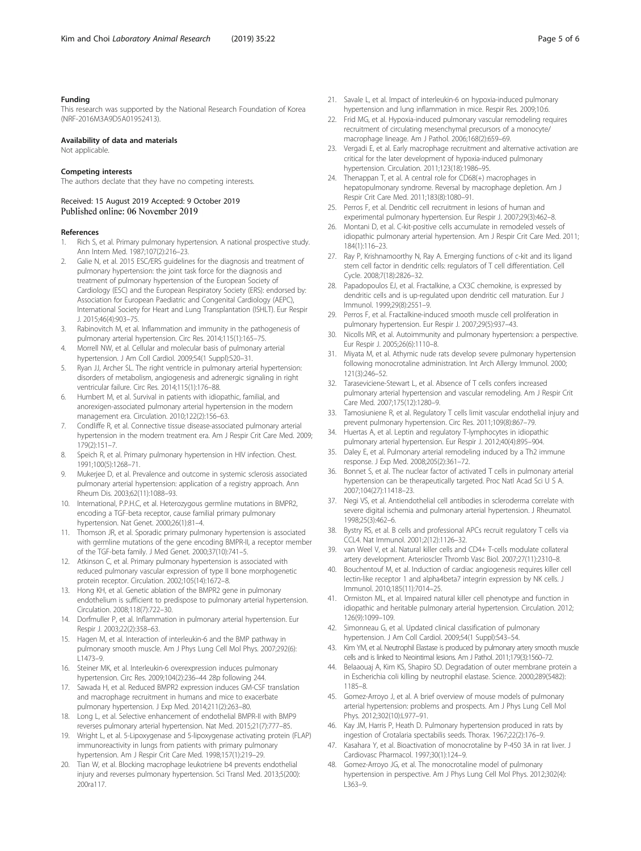#### <span id="page-4-0"></span>Funding

This research was supported by the National Research Foundation of Korea (NRF-2016M3A9D5A01952413).

#### Availability of data and materials

Not applicable.

#### Competing interests

The authors declate that they have no competing interests.

## Received: 15 August 2019 Accepted: 9 October 2019

#### References

- 1. Rich S, et al. Primary pulmonary hypertension. A national prospective study. Ann Intern Med. 1987;107(2):216–23.
- Galie N, et al. 2015 ESC/ERS guidelines for the diagnosis and treatment of pulmonary hypertension: the joint task force for the diagnosis and treatment of pulmonary hypertension of the European Society of Cardiology (ESC) and the European Respiratory Society (ERS): endorsed by: Association for European Paediatric and Congenital Cardiology (AEPC), International Society for Heart and Lung Transplantation (ISHLT). Eur Respir J. 2015;46(4):903–75.
- 3. Rabinovitch M, et al. Inflammation and immunity in the pathogenesis of pulmonary arterial hypertension. Circ Res. 2014;115(1):165–75.
- 4. Morrell NW, et al. Cellular and molecular basis of pulmonary arterial hypertension. J Am Coll Cardiol. 2009;54(1 Suppl):S20–31.
- 5. Ryan JJ, Archer SL. The right ventricle in pulmonary arterial hypertension: disorders of metabolism, angiogenesis and adrenergic signaling in right ventricular failure. Circ Res. 2014;115(1):176–88.
- 6. Humbert M, et al. Survival in patients with idiopathic, familial, and anorexigen-associated pulmonary arterial hypertension in the modern management era. Circulation. 2010;122(2):156–63.
- 7. Condliffe R, et al. Connective tissue disease-associated pulmonary arterial hypertension in the modern treatment era. Am J Respir Crit Care Med. 2009; 179(2):151–7.
- 8. Speich R, et al. Primary pulmonary hypertension in HIV infection. Chest. 1991;100(5):1268–71.
- 9. Mukerjee D, et al. Prevalence and outcome in systemic sclerosis associated pulmonary arterial hypertension: application of a registry approach. Ann Rheum Dis. 2003;62(11):1088–93.
- 10. International, P.P.H.C, et al. Heterozygous germline mutations in BMPR2, encoding a TGF-beta receptor, cause familial primary pulmonary hypertension. Nat Genet. 2000;26(1):81–4.
- 11. Thomson JR, et al. Sporadic primary pulmonary hypertension is associated with germline mutations of the gene encoding BMPR-II, a receptor member of the TGF-beta family. J Med Genet. 2000;37(10):741–5.
- 12. Atkinson C, et al. Primary pulmonary hypertension is associated with reduced pulmonary vascular expression of type II bone morphogenetic protein receptor. Circulation. 2002;105(14):1672–8.
- 13. Hong KH, et al. Genetic ablation of the BMPR2 gene in pulmonary endothelium is sufficient to predispose to pulmonary arterial hypertension. Circulation. 2008;118(7):722–30.
- 14. Dorfmuller P, et al. Inflammation in pulmonary arterial hypertension. Eur Respir J. 2003;22(2):358–63.
- 15. Hagen M, et al. Interaction of interleukin-6 and the BMP pathway in pulmonary smooth muscle. Am J Phys Lung Cell Mol Phys. 2007;292(6): L1473–9.
- 16. Steiner MK, et al. Interleukin-6 overexpression induces pulmonary hypertension. Circ Res. 2009;104(2):236–44 28p following 244.
- 17. Sawada H, et al. Reduced BMPR2 expression induces GM-CSF translation and macrophage recruitment in humans and mice to exacerbate pulmonary hypertension. J Exp Med. 2014;211(2):263–80.
- 18. Long L, et al. Selective enhancement of endothelial BMPR-II with BMP9 reverses pulmonary arterial hypertension. Nat Med. 2015;21(7):777–85.
- 19. Wright L, et al. 5-Lipoxygenase and 5-lipoxygenase activating protein (FLAP) immunoreactivity in lungs from patients with primary pulmonary hypertension. Am J Respir Crit Care Med. 1998;157(1):219–29.
- 20. Tian W, et al. Blocking macrophage leukotriene b4 prevents endothelial injury and reverses pulmonary hypertension. Sci Transl Med. 2013;5(200): 200ra117.
- 21. Savale L, et al. Impact of interleukin-6 on hypoxia-induced pulmonary hypertension and lung inflammation in mice. Respir Res. 2009;10:6.
- 22. Frid MG, et al. Hypoxia-induced pulmonary vascular remodeling requires recruitment of circulating mesenchymal precursors of a monocyte/ macrophage lineage. Am J Pathol. 2006;168(2):659–69.
- 23. Vergadi E, et al. Early macrophage recruitment and alternative activation are critical for the later development of hypoxia-induced pulmonary hypertension. Circulation. 2011;123(18):1986–95.
- 24. Thenappan T, et al. A central role for CD68(+) macrophages in hepatopulmonary syndrome. Reversal by macrophage depletion. Am J Respir Crit Care Med. 2011;183(8):1080–91.
- 25. Perros F, et al. Dendritic cell recruitment in lesions of human and experimental pulmonary hypertension. Eur Respir J. 2007;29(3):462–8.
- 26. Montani D, et al. C-kit-positive cells accumulate in remodeled vessels of idiopathic pulmonary arterial hypertension. Am J Respir Crit Care Med. 2011; 184(1):116–23.
- 27. Ray P, Krishnamoorthy N, Ray A. Emerging functions of c-kit and its ligand stem cell factor in dendritic cells: regulators of T cell differentiation. Cell Cycle. 2008;7(18):2826–32.
- 28. Papadopoulos EJ, et al. Fractalkine, a CX3C chemokine, is expressed by dendritic cells and is up-regulated upon dendritic cell maturation. Eur J Immunol. 1999;29(8):2551–9.
- 29. Perros F, et al. Fractalkine-induced smooth muscle cell proliferation in pulmonary hypertension. Eur Respir J. 2007;29(5):937–43.
- 30. Nicolls MR, et al. Autoimmunity and pulmonary hypertension: a perspective. Eur Respir J. 2005;26(6):1110–8.
- 31. Miyata M, et al. Athymic nude rats develop severe pulmonary hypertension following monocrotaline administration. Int Arch Allergy Immunol. 2000; 121(3):246–52.
- 32. Taraseviciene-Stewart L, et al. Absence of T cells confers increased pulmonary arterial hypertension and vascular remodeling. Am J Respir Crit Care Med. 2007;175(12):1280–9.
- 33. Tamosiuniene R, et al. Regulatory T cells limit vascular endothelial injury and prevent pulmonary hypertension. Circ Res. 2011;109(8):867–79.
- 34. Huertas A, et al. Leptin and regulatory T-lymphocytes in idiopathic pulmonary arterial hypertension. Eur Respir J. 2012;40(4):895–904.
- 35. Daley E, et al. Pulmonary arterial remodeling induced by a Th2 immune response. J Exp Med. 2008;205(2):361–72.
- 36. Bonnet S, et al. The nuclear factor of activated T cells in pulmonary arterial hypertension can be therapeutically targeted. Proc Natl Acad Sci U S A. 2007;104(27):11418–23.
- 37. Negi VS, et al. Antiendothelial cell antibodies in scleroderma correlate with severe digital ischemia and pulmonary arterial hypertension. J Rheumatol. 1998;25(3):462–6.
- 38. Bystry RS, et al. B cells and professional APCs recruit regulatory T cells via CCL4. Nat Immunol. 2001;2(12):1126–32.
- van Weel V, et al. Natural killer cells and CD4+ T-cells modulate collateral artery development. Arterioscler Thromb Vasc Biol. 2007;27(11):2310–8.
- 40. Bouchentouf M, et al. Induction of cardiac angiogenesis requires killer cell lectin-like receptor 1 and alpha4beta7 integrin expression by NK cells. J Immunol. 2010;185(11):7014–25.
- 41. Ormiston ML, et al. Impaired natural killer cell phenotype and function in idiopathic and heritable pulmonary arterial hypertension. Circulation. 2012; 126(9):1099–109.
- 42. Simonneau G, et al. Updated clinical classification of pulmonary hypertension. J Am Coll Cardiol. 2009;54(1 Suppl):S43–54.
- 43. Kim YM, et al. Neutrophil Elastase is produced by pulmonary artery smooth muscle cells and is linked to Neointimal lesions. Am J Pathol. 2011;179(3):1560–72.
- 44. Belaaouaj A, Kim KS, Shapiro SD. Degradation of outer membrane protein a in Escherichia coli killing by neutrophil elastase. Science. 2000;289(5482): 1185–8.
- 45. Gomez-Arroyo J, et al. A brief overview of mouse models of pulmonary arterial hypertension: problems and prospects. Am J Phys Lung Cell Mol Phys. 2012;302(10):L977–91.
- 46. Kay JM, Harris P, Heath D. Pulmonary hypertension produced in rats by ingestion of Crotalaria spectabilis seeds. Thorax. 1967;22(2):176–9.
- 47. Kasahara Y, et al. Bioactivation of monocrotaline by P-450 3A in rat liver. J Cardiovasc Pharmacol. 1997;30(1):124–9.
- 48. Gomez-Arroyo JG, et al. The monocrotaline model of pulmonary hypertension in perspective. Am J Phys Lung Cell Mol Phys. 2012;302(4): L363–9.